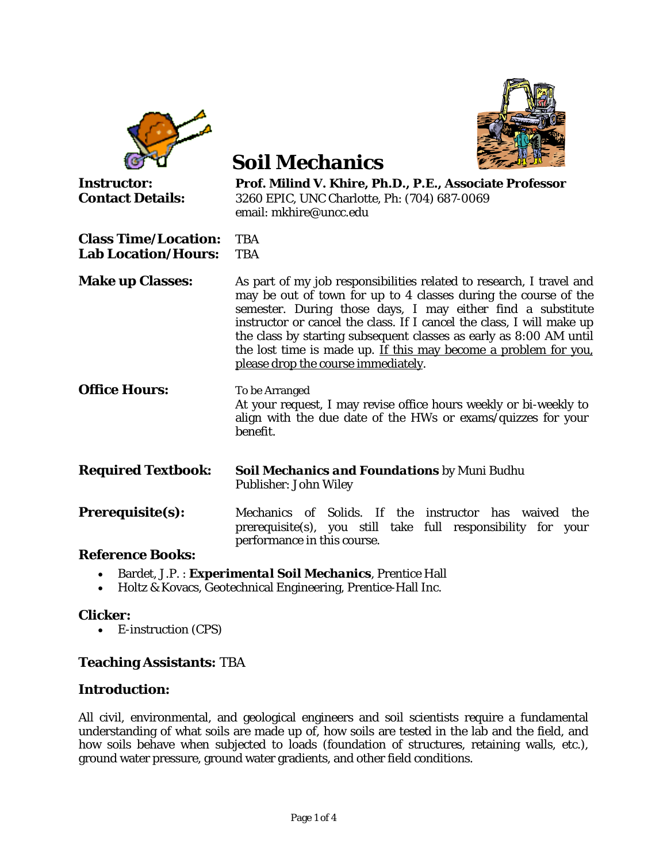|                                                           | <b>Soil Mechanics</b>                                                                                                                                                                                                                                                                                                                                                                                                                                           |  |
|-----------------------------------------------------------|-----------------------------------------------------------------------------------------------------------------------------------------------------------------------------------------------------------------------------------------------------------------------------------------------------------------------------------------------------------------------------------------------------------------------------------------------------------------|--|
| <b>Instructor:</b><br><b>Contact Details:</b>             | Prof. Milind V. Khire, Ph.D., P.E., Associate Professor<br>3260 EPIC, UNC Charlotte, Ph: (704) 687-0069<br>email: mkhire@uncc.edu                                                                                                                                                                                                                                                                                                                               |  |
| <b>Class Time/Location:</b><br><b>Lab Location/Hours:</b> | <b>TBA</b><br><b>TBA</b>                                                                                                                                                                                                                                                                                                                                                                                                                                        |  |
| <b>Make up Classes:</b>                                   | As part of my job responsibilities related to research, I travel and<br>may be out of town for up to 4 classes during the course of the<br>semester. During those days, I may either find a substitute<br>instructor or cancel the class. If I cancel the class, I will make up<br>the class by starting subsequent classes as early as 8:00 AM until<br>the lost time is made up. If this may become a problem for you.<br>please drop the course immediately. |  |
| <b>Office Hours:</b>                                      | To be Arranged<br>At your request, I may revise office hours weekly or bi-weekly to<br>align with the due date of the HWs or exams/quizzes for your<br>benefit.                                                                                                                                                                                                                                                                                                 |  |
| <b>Required Textbook:</b>                                 | Soil Mechanics and Foundations by Muni Budhu<br>Publisher: John Wiley                                                                                                                                                                                                                                                                                                                                                                                           |  |
| <b>Prerequisite(s):</b>                                   | Mechanics of Solids. If the instructor has waived the<br>prerequisite(s), you still take full responsibility for your<br>performance in this course.                                                                                                                                                                                                                                                                                                            |  |
| <b>Reference Books:</b>                                   |                                                                                                                                                                                                                                                                                                                                                                                                                                                                 |  |
|                                                           | Bardet, J.P.: <i>Experimental Soil Mechanics</i> , Prentice Hall                                                                                                                                                                                                                                                                                                                                                                                                |  |

• Holtz & Kovacs, Geotechnical Engineering, Prentice-Hall Inc.

### **Clicker:**

• E-instruction (CPS)

## **Teaching Assistants:** TBA

### **Introduction:**

All civil, environmental, and geological engineers and soil scientists require a fundamental understanding of what soils are made up of, how soils are tested in the lab and the field, and how soils behave when subjected to loads (foundation of structures, retaining walls, etc.), ground water pressure, ground water gradients, and other field conditions.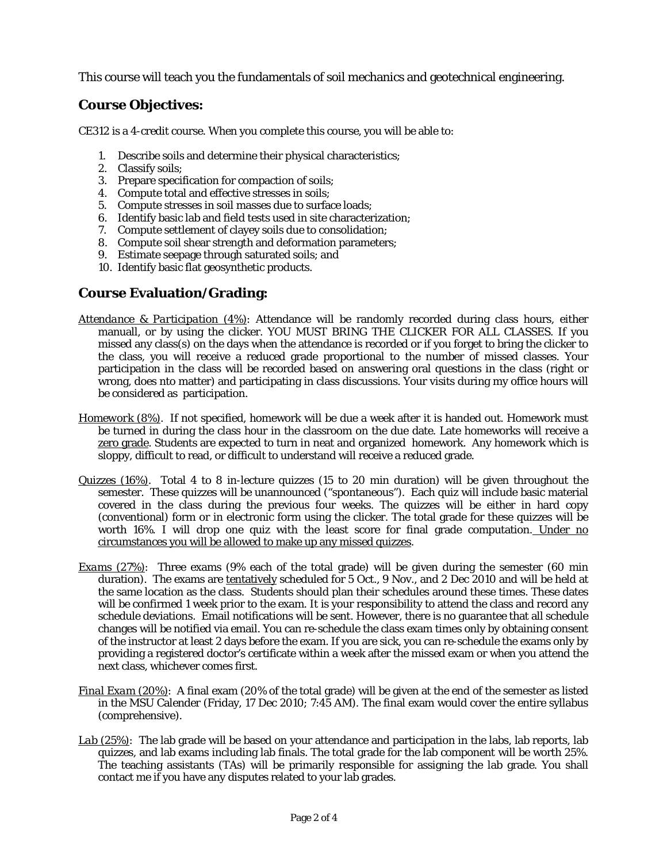This course will teach you the fundamentals of soil mechanics and geotechnical engineering.

# **Course Objectives:**

CE312 is a 4-credit course. When you complete this course, you will be able to:

- 1. Describe soils and determine their physical characteristics;
- 2. Classify soils;
- 3. Prepare specification for compaction of soils;
- 4. Compute total and effective stresses in soils;
- 5. Compute stresses in soil masses due to surface loads;
- 6. Identify basic lab and field tests used in site characterization;
- 7. Compute settlement of clayey soils due to consolidation;
- 8. Compute soil shear strength and deformation parameters;
- 9. Estimate seepage through saturated soils; and
- 10. Identify basic flat geosynthetic products.

# **Course Evaluation/Grading:**

- *Attendance & Participation (4%)*: Attendance will be randomly recorded during class hours, either manuall, or by using the clicker. YOU MUST BRING THE CLICKER FOR ALL CLASSES. If you missed any class(s) on the days when the attendance is recorded or if you forget to bring the clicker to the class, you will receive a reduced grade proportional to the number of missed classes. Your participation in the class will be recorded based on answering oral questions in the class (right or wrong, does nto matter) and participating in class discussions. Your visits during my office hours will be considered as participation.
- *Homework (8%)*. If not specified, homework will be due a week after it is handed out. Homework must be turned in during the class hour in the classroom on the due date. Late homeworks will receive a zero grade. Students are expected to turn in neat and organized homework. Any homework which is sloppy, difficult to read, or difficult to understand will receive a reduced grade.
- *Quizzes (16%)*. Total 4 to 8 in-lecture quizzes (15 to 20 min duration) will be given throughout the semester. These quizzes will be unannounced ("spontaneous"). Each quiz will include basic material covered in the class during the previous four weeks. The quizzes will be either in hard copy (conventional) form or in electronic form using the clicker. The total grade for these quizzes will be worth 16%. I will drop one quiz with the least score for final grade computation. Under no circumstances you will be allowed to make up any missed quizzes.
- *Exams (27%)*: Three exams (9% each of the total grade) will be given during the semester (60 min duration). The exams are tentatively scheduled for 5 Oct., 9 Nov., and 2 Dec 2010 and will be held at the same location as the class. Students should plan their schedules around these times. These dates will be confirmed 1 week prior to the exam. It is your responsibility to attend the class and record any schedule deviations.Email notifications will be sent. However, there is no guarantee that all schedule changes will be notified via email. You can re-schedule the class exam times only by obtaining consent of the instructor at least 2 days before the exam. If you are sick, you can re-schedule the exams only by providing a registered doctor's certificate within a week after the missed exam or when you attend the next class, whichever comes first.
- *Final Exam (20%)*: A final exam (20% of the total grade) will be given at the end of the semester as listed in the MSU Calender (Friday, 17 Dec 2010; 7:45 AM). The final exam would cover the entire syllabus (comprehensive).
- *Lab (25%)*: The lab grade will be based on your attendance and participation in the labs, lab reports, lab quizzes, and lab exams including lab finals. The total grade for the lab component will be worth 25%. The teaching assistants (TAs) will be primarily responsible for assigning the lab grade. You shall contact me if you have any disputes related to your lab grades.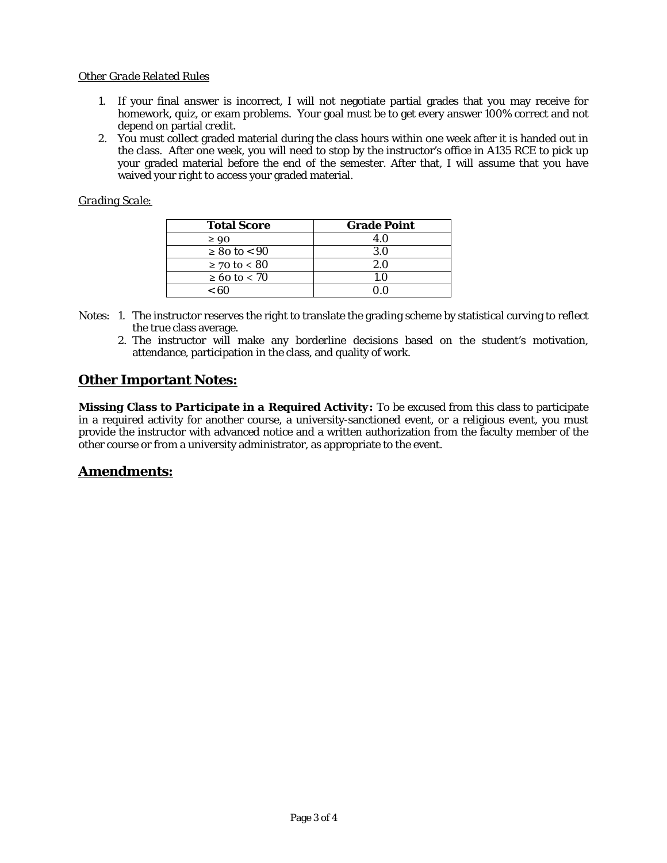#### *Other Grade Related Rules*

- 1. If your final answer is incorrect, I will not negotiate partial grades that you may receive for homework, quiz, or exam problems. Your goal must be to get every answer 100% correct and not depend on partial credit.
- 2. You must collect graded material during the class hours within one week after it is handed out in the class. After one week, you will need to stop by the instructor's office in A135 RCE to pick up your graded material before the end of the semester. After that, I will assume that you have waived your right to access your graded material.

### *Grading Scale:*

| <b>Total Score</b>    | <b>Grade Point</b> |
|-----------------------|--------------------|
| $\geq 90$             | 4.0                |
| $\geq 80$ to $< 90$   | 3.0                |
| $≥ 70$ to < 80        | 2.0                |
| $\geq 60$ to $\lt 70$ | 1 ()               |
| < 60                  |                    |

- Notes: 1. The instructor reserves the right to translate the grading scheme by statistical curving to reflect the true class average.
	- 2. The instructor will make any borderline decisions based on the student's motivation, attendance, participation in the class, and quality of work.

## **Other Important Notes:**

*Missing Class to Participate in a Required Activity:* To be excused from this class to participate in a required activity for another course, a university-sanctioned event, or a religious event, you must provide the instructor with advanced notice and a written authorization from the faculty member of the other course or from a university administrator, as appropriate to the event.

### **Amendments:**